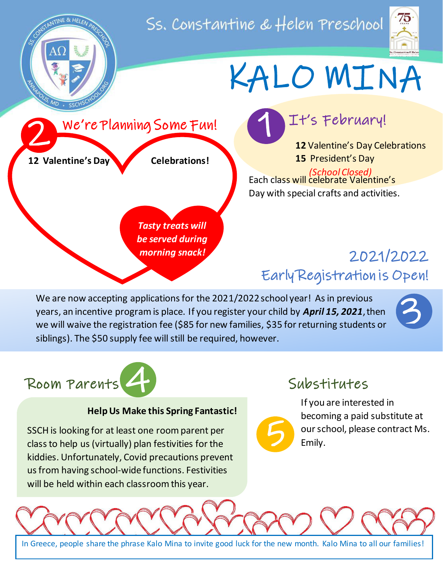Ss. Constantine & Helen Preschool





# KALO MINA



*Tasty treats will be served during morning snack!*

### It's February!

**12** Valentine's Day Celebrations **15** President's Day *(School Closed)*

Day with special crafts and activities. Each class will celebrate Valentine's

# 2021/2022 Early Registration is Open!

We are now accepting applications for the 2021/2022 school year! As in previous years, an incentive program is place. If you register your child by *April 15, 2021*, then we will waive the registration fee (\$85 for new families, \$35 for returning students or siblings). The \$50 supply fee will still be required, however.





#### **Help Us Make this Spring Fantastic!**

SSCH is looking for at least one room parent per class to help us (virtually) plan festivities for the kiddies. Unfortunately, Covid precautions prevent us from having school-wide functions. Festivities will be held within each classroom this year.

#### Substitutes

5

If you are interested in becoming a paid substitute at our school, please contract Ms. Emily.



In Greece, people share the phrase Kalo Mina to invite good luck for the new month. Kalo Mina to all our families!